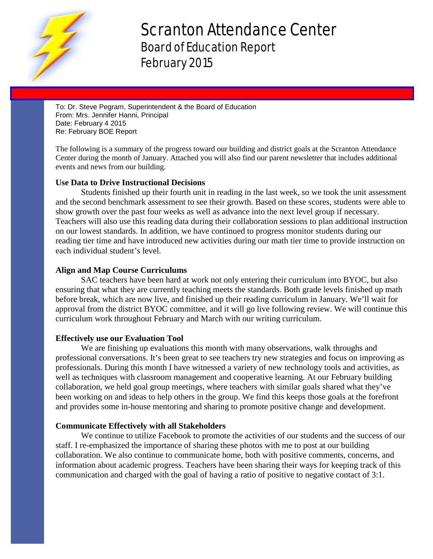

# Scranton Attendance Center Board of Education Report February 2015

To: Dr. Steve Pegram, Superintendent & the Board of Education From: Mrs. Jennifer Hanni, Principal Date: February 4 2015 Re: February BOE Report

The following is a summary of the progress toward our building and district goals at the Scranton Attendance Center during the month of January. Attached you will also find our parent newsletter that includes additional events and news from our building.

### **Use Data to Drive Instructional Decisions**

Students finished up their fourth unit in reading in the last week, so we took the unit assessment and the second benchmark assessment to see their growth. Based on these scores, students were able to show growth over the past four weeks as well as advance into the next level group if necessary. Teachers will also use this reading data during their collaboration sessions to plan additional instruction on our lowest standards. In addition, we have continued to progress monitor students during our reading tier time and have introduced new activities during our math tier time to provide instruction on each individual student's level.

### **Align and Map Course Curriculums**

SAC teachers have been hard at work not only entering their curriculum into BYOC, but also ensuring that what they are currently teaching meets the standards. Both grade levels finished up math before break, which are now live, and finished up their reading curriculum in January. We'll wait for approval from the district BYOC committee, and it will go live following review. We will continue this curriculum work throughout February and March with our writing curriculum.

### **Effectively use our Evaluation Tool**

We are finishing up evaluations this month with many observations, walk throughs and professional conversations. It's been great to see teachers try new strategies and focus on improving as professionals. During this month I have witnessed a variety of new technology tools and activities, as well as techniques with classroom management and cooperative learning. At our February building collaboration, we held goal group meetings, where teachers with similar goals shared what they've been working on and ideas to help others in the group. We find this keeps those goals at the forefront and provides some in-house mentoring and sharing to promote positive change and development.

### **Communicate Effectively with all Stakeholders**

We continue to utilize Facebook to promote the activities of our students and the success of our staff. I re-emphasized the importance of sharing these photos with me to post at our building collaboration. We also continue to communicate home, both with positive comments, concerns, and information about academic progress. Teachers have been sharing their ways for keeping track of this communication and charged with the goal of having a ratio of positive to negative contact of 3:1.